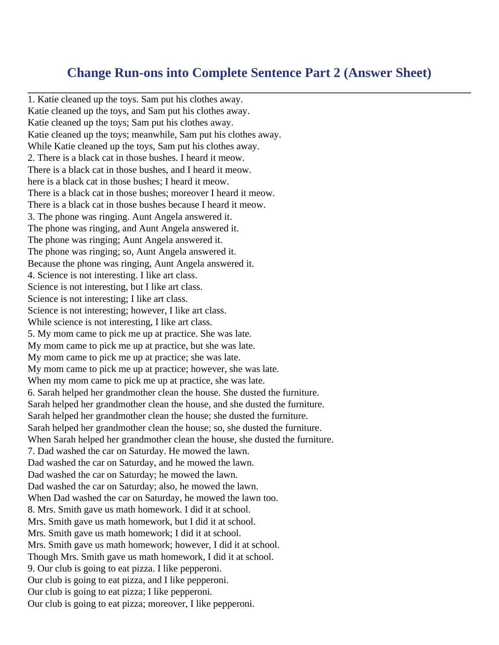## **Change Run-ons into Complete Sentence Part 2 (Answer Sheet)**

1. Katie cleaned up the toys. Sam put his clothes away. Katie cleaned up the toys, and Sam put his clothes away. Katie cleaned up the toys; Sam put his clothes away. Katie cleaned up the toys; meanwhile, Sam put his clothes away. While Katie cleaned up the toys, Sam put his clothes away. 2. There is a black cat in those bushes. I heard it meow. There is a black cat in those bushes, and I heard it meow. here is a black cat in those bushes; I heard it meow. There is a black cat in those bushes; moreover I heard it meow. There is a black cat in those bushes because I heard it meow. 3. The phone was ringing. Aunt Angela answered it. The phone was ringing, and Aunt Angela answered it. The phone was ringing; Aunt Angela answered it. The phone was ringing; so, Aunt Angela answered it. Because the phone was ringing, Aunt Angela answered it. 4. Science is not interesting. I like art class. Science is not interesting, but I like art class. Science is not interesting; I like art class. Science is not interesting; however, I like art class. While science is not interesting, I like art class. 5. My mom came to pick me up at practice. She was late. My mom came to pick me up at practice, but she was late. My mom came to pick me up at practice; she was late. My mom came to pick me up at practice; however, she was late. When my mom came to pick me up at practice, she was late. 6. Sarah helped her grandmother clean the house. She dusted the furniture. Sarah helped her grandmother clean the house, and she dusted the furniture. Sarah helped her grandmother clean the house; she dusted the furniture. Sarah helped her grandmother clean the house; so, she dusted the furniture. When Sarah helped her grandmother clean the house, she dusted the furniture. 7. Dad washed the car on Saturday. He mowed the lawn. Dad washed the car on Saturday, and he mowed the lawn. Dad washed the car on Saturday; he mowed the lawn. Dad washed the car on Saturday; also, he mowed the lawn. When Dad washed the car on Saturday, he mowed the lawn too. 8. Mrs. Smith gave us math homework. I did it at school. Mrs. Smith gave us math homework, but I did it at school. Mrs. Smith gave us math homework; I did it at school. Mrs. Smith gave us math homework; however, I did it at school. Though Mrs. Smith gave us math homework, I did it at school. 9. Our club is going to eat pizza. I like pepperoni. Our club is going to eat pizza, and I like pepperoni. Our club is going to eat pizza; I like pepperoni. Our club is going to eat pizza; moreover, I like pepperoni.